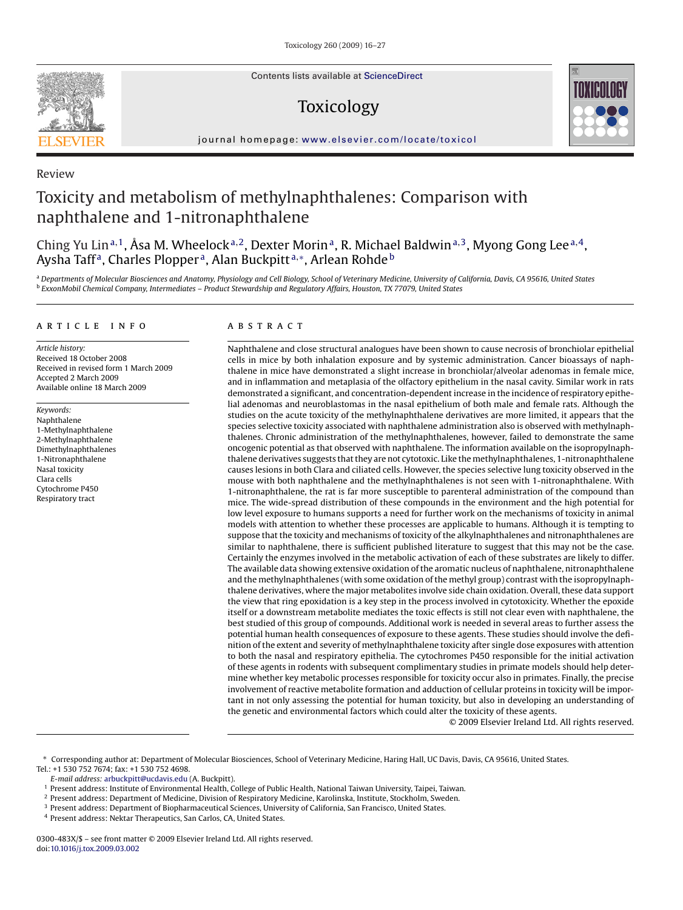Contents lists available at [ScienceDirect](http://www.sciencedirect.com/science/journal/0300483X)

# Toxicology



journal homepage: [www.elsevier.com/locate/toxicol](http://www.elsevier.com/locate/toxicol)

# Review

# Toxicity and metabolism of methylnaphthalenes: Comparison with naphthalene and 1-nitronaphthalene

Ching Yu Lin<sup>a, 1</sup>, Åsa M. Wheelock<sup>a, 2</sup>, Dexter Morin<sup>a</sup>, R. Michael Baldwin<sup>a, 3</sup>, Myong Gong Lee<sup>a, 4</sup>, Aysha Taff<sup>a</sup>, Charles Plopper<sup>a</sup>, Alan Buckpitt<sup>a,∗</sup>, Arlean Rohde<sup>b</sup>

<sup>a</sup> *Departments of Molecular Biosciences and Anatomy, Physiology and Cell Biology, School of Veterinary Medicine, University of California, Davis, CA 95616, United States* <sup>b</sup> *ExxonMobil Chemical Company, Intermediates – Product Stewardship and Regulatory Affairs, Houston, TX 77079, United States*

### article info

*Article history:* Received 18 October 2008 Received in revised form 1 March 2009 Accepted 2 March 2009 Available online 18 March 2009

*Keywords:* Naphthalene 1-Methylnaphthalene 2-Methylnaphthalene Dimethylnaphthalenes 1-Nitronaphthalene Nasal toxicity Clara cells Cytochrome P450 Respiratory tract

#### **ABSTRACT**

Naphthalene and close structural analogues have been shown to cause necrosis of bronchiolar epithelial cells in mice by both inhalation exposure and by systemic administration. Cancer bioassays of naphthalene in mice have demonstrated a slight increase in bronchiolar/alveolar adenomas in female mice, and in inflammation and metaplasia of the olfactory epithelium in the nasal cavity. Similar work in rats demonstrated a significant, and concentration-dependent increase in the incidence of respiratory epithelial adenomas and neuroblastomas in the nasal epithelium of both male and female rats. Although the studies on the acute toxicity of the methylnaphthalene derivatives are more limited, it appears that the species selective toxicity associated with naphthalene administration also is observed with methylnaphthalenes. Chronic administration of the methylnaphthalenes, however, failed to demonstrate the same oncogenic potential as that observed with naphthalene. The information available on the isopropylnaphthalene derivatives suggests that they are not cytotoxic. Like the methylnaphthalenes, 1-nitronaphthalene causes lesions in both Clara and ciliated cells. However, the species selective lung toxicity observed in the mouse with both naphthalene and the methylnaphthalenes is not seen with 1-nitronaphthalene. With 1-nitronaphthalene, the rat is far more susceptible to parenteral administration of the compound than mice. The wide-spread distribution of these compounds in the environment and the high potential for low level exposure to humans supports a need for further work on the mechanisms of toxicity in animal models with attention to whether these processes are applicable to humans. Although it is tempting to suppose that the toxicity and mechanisms of toxicity of the alkylnaphthalenes and nitronaphthalenes are similar to naphthalene, there is sufficient published literature to suggest that this may not be the case. Certainly the enzymes involved in the metabolic activation of each of these substrates are likely to differ. The available data showing extensive oxidation of the aromatic nucleus of naphthalene, nitronaphthalene and the methylnaphthalenes (with some oxidation of the methyl group) contrast with the isopropylnaphthalene derivatives, where the major metabolites involve side chain oxidation. Overall, these data support the view that ring epoxidation is a key step in the process involved in cytotoxicity. Whether the epoxide itself or a downstream metabolite mediates the toxic effects is still not clear even with naphthalene, the best studied of this group of compounds. Additional work is needed in several areas to further assess the potential human health consequences of exposure to these agents. These studies should involve the definition of the extent and severity of methylnaphthalene toxicity after single dose exposures with attention to both the nasal and respiratory epithelia. The cytochromes P450 responsible for the initial activation of these agents in rodents with subsequent complimentary studies in primate models should help determine whether key metabolic processes responsible for toxicity occur also in primates. Finally, the precise involvement of reactive metabolite formation and adduction of cellular proteins in toxicity will be important in not only assessing the potential for human toxicity, but also in developing an understanding of the genetic and environmental factors which could alter the toxicity of these agents.

© 2009 Elsevier Ireland Ltd. All rights reserved.

- <sup>3</sup> Present address: Department of Biopharmaceutical Sciences, University of California, San Francisco, United States.
- <sup>4</sup> Present address: Nektar Therapeutics, San Carlos, CA, United States.

<sup>∗</sup> Corresponding author at: Department of Molecular Biosciences, School of Veterinary Medicine, Haring Hall, UC Davis, Davis, CA 95616, United States. Tel.: +1 530 752 7674; fax: +1 530 752 4698.

*E-mail address:* [arbuckpitt@ucdavis.edu](mailto:arbuckpitt@ucdavis.edu) (A. Buckpitt).

<sup>1</sup> Present address: Institute of Environmental Health, College of Public Health, National Taiwan University, Taipei, Taiwan.

<sup>2</sup> Present address: Department of Medicine, Division of Respiratory Medicine, Karolinska, Institute, Stockholm, Sweden.

<sup>0300-483</sup>X/\$ – see front matter © 2009 Elsevier Ireland Ltd. All rights reserved. doi:[10.1016/j.tox.2009.03.002](dx.doi.org/10.1016/j.tox.2009.03.002)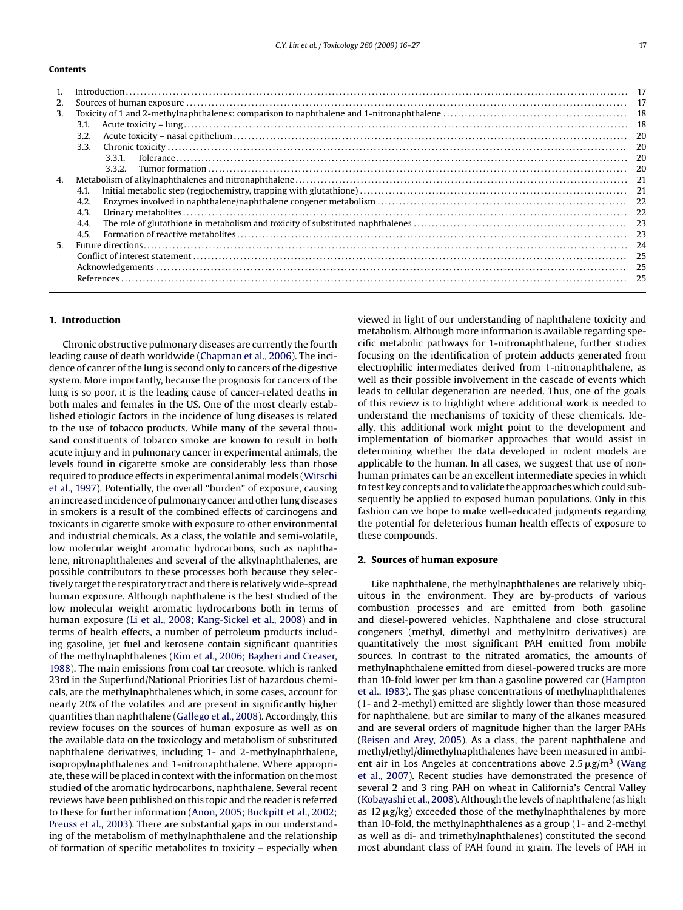### **Contents**

|    | Introduction 17 |  |
|----|-----------------|--|
| 2. |                 |  |
| 3. |                 |  |
|    | 3.1.            |  |
|    | 3.2.            |  |
|    | 3.3.            |  |
|    | 3.3.1.          |  |
|    | 3.3.2           |  |
| 4. |                 |  |
|    | 4.1             |  |
|    | 4.2.            |  |
|    | 4.3.            |  |
|    | 4.4.            |  |
|    | 4.5.            |  |
| 5. |                 |  |
|    |                 |  |
|    |                 |  |
|    |                 |  |
|    |                 |  |

### **1. Introduction**

Chronic obstructive pulmonary diseases are currently the fourth leading cause of death worldwide ([Chapman et al., 2006\).](#page-9-0) The incidence of cancer of the lung is second only to cancers of the digestive system. More importantly, because the prognosis for cancers of the lung is so poor, it is the leading cause of cancer-related deaths in both males and females in the US. One of the most clearly established etiologic factors in the incidence of lung diseases is related to the use of tobacco products. While many of the several thousand constituents of tobacco smoke are known to result in both acute injury and in pulmonary cancer in experimental animals, the levels found in cigarette smoke are considerably less than those required to produce effects in experimental animal models [\(Witschi](#page-11-0) [et al., 1997\).](#page-11-0) Potentially, the overall "burden" of exposure, causing an increased incidence of pulmonary cancer and other lung diseases in smokers is a result of the combined effects of carcinogens and toxicants in cigarette smoke with exposure to other environmental and industrial chemicals. As a class, the volatile and semi-volatile, low molecular weight aromatic hydrocarbons, such as naphthalene, nitronaphthalenes and several of the alkylnaphthalenes, are possible contributors to these processes both because they selectively target the respiratory tract and there is relatively wide-spread human exposure. Although naphthalene is the best studied of the low molecular weight aromatic hydrocarbons both in terms of human exposure ([Li et al., 2008; Kang-Sickel et al., 2008\)](#page-10-0) and in terms of health effects, a number of petroleum products including gasoline, jet fuel and kerosene contain significant quantities of the methylnaphthalenes [\(Kim et al., 2006; Bagheri and Creaser,](#page-10-0) [1988\).](#page-10-0) The main emissions from coal tar creosote, which is ranked 23rd in the Superfund/National Priorities List of hazardous chemicals, are the methylnaphthalenes which, in some cases, account for nearly 20% of the volatiles and are present in significantly higher quantities than naphthalene [\(Gallego et al., 2008\).](#page-9-0) Accordingly, this review focuses on the sources of human exposure as well as on the available data on the toxicology and metabolism of substituted naphthalene derivatives, including 1- and 2-methylnaphthalene, isopropylnaphthalenes and 1-nitronaphthalene. Where appropriate, these will be placed in context with the information on the most studied of the aromatic hydrocarbons, naphthalene. Several recent reviews have been published on this topic and the reader is referred to these for further information [\(Anon, 2005; Buckpitt et al., 2002;](#page-9-0) [Preuss et al., 2003\).](#page-9-0) There are substantial gaps in our understanding of the metabolism of methylnaphthalene and the relationship of formation of specific metabolites to toxicity – especially when

viewed in light of our understanding of naphthalene toxicity and metabolism. Although more information is available regarding specific metabolic pathways for 1-nitronaphthalene, further studies focusing on the identification of protein adducts generated from electrophilic intermediates derived from 1-nitronaphthalene, as well as their possible involvement in the cascade of events which leads to cellular degeneration are needed. Thus, one of the goals of this review is to highlight where additional work is needed to understand the mechanisms of toxicity of these chemicals. Ideally, this additional work might point to the development and implementation of biomarker approaches that would assist in determining whether the data developed in rodent models are applicable to the human. In all cases, we suggest that use of nonhuman primates can be an excellent intermediate species in which to test key concepts and to validate the approaches which could subsequently be applied to exposed human populations. Only in this fashion can we hope to make well-educated judgments regarding the potential for deleterious human health effects of exposure to these compounds.

## **2. Sources of human exposure**

Like naphthalene, the methylnaphthalenes are relatively ubiquitous in the environment. They are by-products of various combustion processes and are emitted from both gasoline and diesel-powered vehicles. Naphthalene and close structural congeners (methyl, dimethyl and methylnitro derivatives) are quantitatively the most significant PAH emitted from mobile sources. In contrast to the nitrated aromatics, the amounts of methylnaphthalene emitted from diesel-powered trucks are more than 10-fold lower per km than a gasoline powered car [\(Hampton](#page-9-0) [et al., 1983\).](#page-9-0) The gas phase concentrations of methylnaphthalenes (1- and 2-methyl) emitted are slightly lower than those measured for naphthalene, but are similar to many of the alkanes measured and are several orders of magnitude higher than the larger PAHs [\(Reisen and Arey, 2005\).](#page-10-0) As a class, the parent naphthalene and methyl/ethyl/dimethylnaphthalenes have been measured in ambient air in Los Angeles at concentrations above  $2.5 \,\mathrm{\upmu g/m^3}$  ([Wang](#page-10-0) [et al., 2007\).](#page-10-0) Recent studies have demonstrated the presence of several 2 and 3 ring PAH on wheat in California's Central Valley [\(Kobayashi et al., 2008\).](#page-10-0) Although the levels of naphthalene (as high as  $12 \mu g/kg$ ) exceeded those of the methylnaphthalenes by more than 10-fold, the methylnaphthalenes as a group (1- and 2-methyl as well as di- and trimethylnaphthalenes) constituted the second most abundant class of PAH found in grain. The levels of PAH in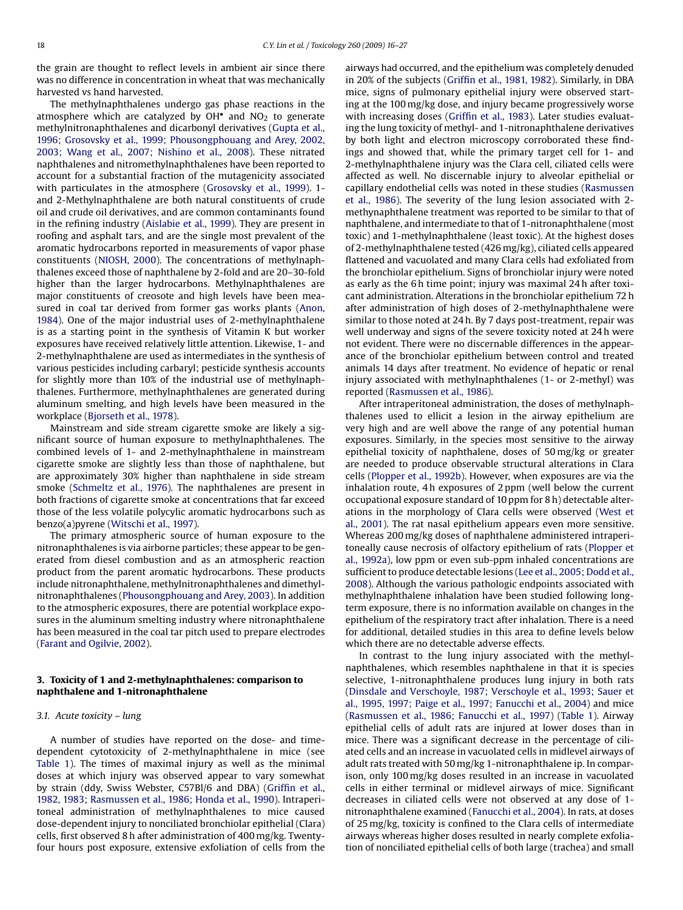the grain are thought to reflect levels in ambient air since there was no difference in concentration in wheat that was mechanically harvested vs hand harvested.

The methylnaphthalenes undergo gas phase reactions in the atmosphere which are catalyzed by  $OH<sup>•</sup>$  and  $NO<sub>2</sub>$  to generate methylnitronaphthalenes and dicarbonyl derivatives ([Gupta et al.,](#page-9-0) [1996; Grosovsky et al., 1999; Phousongphouang and Arey, 2002,](#page-9-0) [2003; Wang et al., 2007; Nishino et al., 2008\).](#page-9-0) These nitrated naphthalenes and nitromethylnaphthalenes have been reported to account for a substantial fraction of the mutagenicity associated with particulates in the atmosphere [\(Grosovsky et al., 1999\).](#page-9-0) 1 and 2-Methylnaphthalene are both natural constituents of crude oil and crude oil derivatives, and are common contaminants found in the refining industry [\(Aislabie et al., 1999\).](#page-9-0) They are present in roofing and asphalt tars, and are the single most prevalent of the aromatic hydrocarbons reported in measurements of vapor phase constituents ([NIOSH, 2000\).](#page-10-0) The concentrations of methylnaphthalenes exceed those of naphthalene by 2-fold and are 20–30-fold higher than the larger hydrocarbons. Methylnaphthalenes are major constituents of creosote and high levels have been measured in coal tar derived from former gas works plants [\(Anon,](#page-9-0) [1984\).](#page-9-0) One of the major industrial uses of 2-methylnaphthalene is as a starting point in the synthesis of Vitamin K but worker exposures have received relatively little attention. Likewise, 1- and 2-methylnaphthalene are used as intermediates in the synthesis of various pesticides including carbaryl; pesticide synthesis accounts for slightly more than 10% of the industrial use of methylnaphthalenes. Furthermore, methylnaphthalenes are generated during aluminum smelting, and high levels have been measured in the workplace ([Bjorseth et al., 1978\).](#page-9-0)

Mainstream and side stream cigarette smoke are likely a significant source of human exposure to methylnaphthalenes. The combined levels of 1- and 2-methylnaphthalene in mainstream cigarette smoke are slightly less than those of naphthalene, but are approximately 30% higher than naphthalene in side stream smoke ([Schmeltz et al., 1976\).](#page-10-0) The naphthalenes are present in both fractions of cigarette smoke at concentrations that far exceed those of the less volatile polycylic aromatic hydrocarbons such as benzo(a)pyrene ([Witschi et al., 1997\).](#page-11-0)

The primary atmospheric source of human exposure to the nitronaphthalenes is via airborne particles; these appear to be generated from diesel combustion and as an atmospheric reaction product from the parent aromatic hydrocarbons. These products include nitronaphthalene, methylnitronaphthalenes and dimethylnitronaphthalenes ([Phousongphouang and Arey, 2003\).](#page-10-0) In addition to the atmospheric exposures, there are potential workplace exposures in the aluminum smelting industry where nitronaphthalene has been measured in the coal tar pitch used to prepare electrodes ([Farant and Ogilvie, 2002\).](#page-9-0)

## **3. Toxicity of 1 and 2-methylnaphthalenes: comparison to naphthalene and 1-nitronaphthalene**

#### *3.1. Acute toxicity – lung*

A number of studies have reported on the dose- and timedependent cytotoxicity of 2-methylnaphthalene in mice (see [Table 1\)](#page-3-0). The times of maximal injury as well as the minimal doses at which injury was observed appear to vary somewhat by strain (ddy, Swiss Webster, C57Bl/6 and DBA) [\(Griffin et al.,](#page-9-0) [1982, 1983; Rasmussen et al., 1986; Honda et al., 1990\).](#page-9-0) Intraperitoneal administration of methylnaphthalenes to mice caused dose-dependent injury to nonciliated bronchiolar epithelial (Clara) cells, first observed 8 h after administration of 400 mg/kg. Twentyfour hours post exposure, extensive exfoliation of cells from the

airways had occurred, and the epithelium was completely denuded in 20% of the subjects [\(Griffin et al., 1981, 1982\).](#page-9-0) Similarly, in DBA mice, signs of pulmonary epithelial injury were observed starting at the 100 mg/kg dose, and injury became progressively worse with increasing doses [\(Griffin et al., 1983\).](#page-9-0) Later studies evaluating the lung toxicity of methyl- and 1-nitronaphthalene derivatives by both light and electron microscopy corroborated these findings and showed that, while the primary target cell for 1- and 2-methylnaphthalene injury was the Clara cell, ciliated cells were affected as well. No discernable injury to alveolar epithelial or capillary endothelial cells was noted in these studies [\(Rasmussen](#page-10-0) [et al., 1986\).](#page-10-0) The severity of the lung lesion associated with 2 methynaphthalene treatment was reported to be similar to that of naphthalene, and intermediate to that of 1-nitronaphthalene (most toxic) and 1-methylnaphthalene (least toxic). At the highest doses of 2-methylnaphthalene tested (426 mg/kg), ciliated cells appeared flattened and vacuolated and many Clara cells had exfoliated from the bronchiolar epithelium. Signs of bronchiolar injury were noted as early as the 6 h time point; injury was maximal 24 h after toxicant administration. Alterations in the bronchiolar epithelium 72 h after administration of high doses of 2-methylnaphthalene were similar to those noted at 24 h. By 7 days post-treatment, repair was well underway and signs of the severe toxicity noted at 24 h were not evident. There were no discernable differences in the appearance of the bronchiolar epithelium between control and treated animals 14 days after treatment. No evidence of hepatic or renal injury associated with methylnaphthalenes (1- or 2-methyl) was reported ([Rasmussen et al., 1986\).](#page-10-0)

After intraperitoneal administration, the doses of methylnaphthalenes used to ellicit a lesion in the airway epithelium are very high and are well above the range of any potential human exposures. Similarly, in the species most sensitive to the airway epithelial toxicity of naphthalene, doses of 50 mg/kg or greater are needed to produce observable structural alterations in Clara cells ([Plopper et al., 1992b\).](#page-10-0) However, when exposures are via the inhalation route, 4 h exposures of 2 ppm (well below the current occupational exposure standard of 10 ppm for 8 h) detectable alterations in the morphology of Clara cells were observed ([West et](#page-10-0) [al., 2001\).](#page-10-0) The rat nasal epithelium appears even more sensitive. Whereas 200 mg/kg doses of naphthalene administered intraperitoneally cause necrosis of olfactory epithelium of rats [\(Plopper et](#page-10-0) [al., 1992a\),](#page-10-0) low ppm or even sub-ppm inhaled concentrations are sufficient to produce detectable lesions [\(Lee et al., 2005; Dodd et al.,](#page-10-0) [2008\).](#page-10-0) Although the various pathologic endpoints associated with methylnaphthalene inhalation have been studied following longterm exposure, there is no information available on changes in the epithelium of the respiratory tract after inhalation. There is a need for additional, detailed studies in this area to define levels below which there are no detectable adverse effects.

In contrast to the lung injury associated with the methylnaphthalenes, which resembles naphthalene in that it is species selective, 1-nitronaphthalene produces lung injury in both rats [\(Dinsdale and Verschoyle, 1987; Verschoyle et al., 1993; Sauer et](#page-9-0) [al., 1995, 1997; Paige et al., 1997; Fanucchi et al., 2004\)](#page-9-0) and mice [\(Rasmussen et al., 1986; Fanucchi et al., 1997\)](#page-10-0) [\(Table 1\).](#page-3-0) Airway epithelial cells of adult rats are injured at lower doses than in mice. There was a significant decrease in the percentage of ciliated cells and an increase in vacuolated cells in midlevel airways of adult rats treated with 50 mg/kg 1-nitronaphthalene ip. In comparison, only 100 mg/kg doses resulted in an increase in vacuolated cells in either terminal or midlevel airways of mice. Significant decreases in ciliated cells were not observed at any dose of 1 nitronaphthalene examined [\(Fanucchi et al., 2004\).](#page-9-0) In rats, at doses of 25 mg/kg, toxicity is confined to the Clara cells of intermediate airways whereas higher doses resulted in nearly complete exfoliation of nonciliated epithelial cells of both large (trachea) and small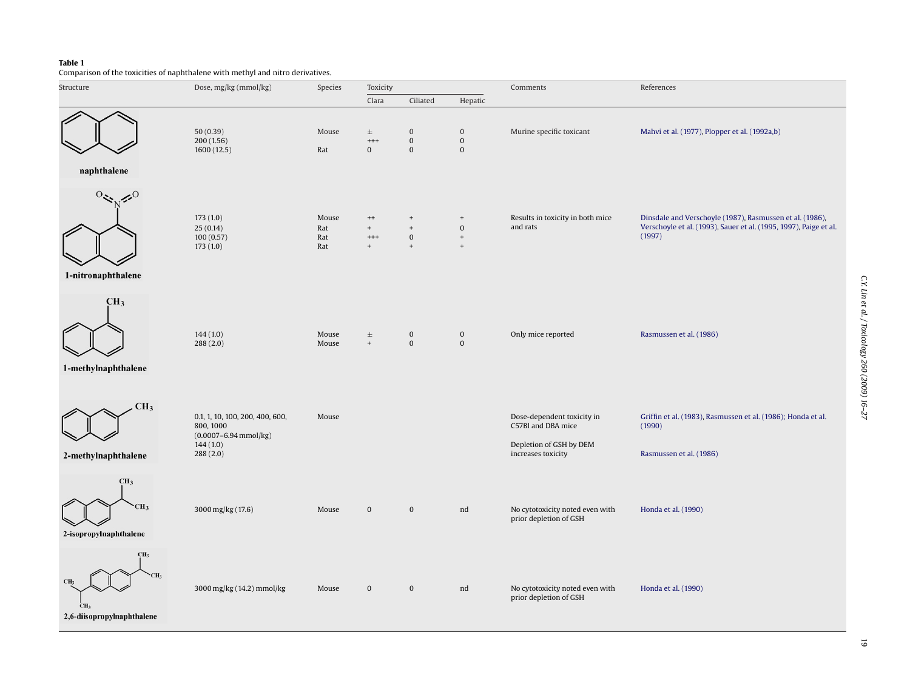# <span id="page-3-0"></span>**Table 1**

Comparison of the toxicities of naphthalene with methyl and nitro derivatives.

| Structure                                                                           | Dose, mg/kg (mmol/kg)                                                                             | Species                    | Toxicity                                  |                                                                  |                                                         | Comments                                                                                          | References                                                                                                                              |
|-------------------------------------------------------------------------------------|---------------------------------------------------------------------------------------------------|----------------------------|-------------------------------------------|------------------------------------------------------------------|---------------------------------------------------------|---------------------------------------------------------------------------------------------------|-----------------------------------------------------------------------------------------------------------------------------------------|
|                                                                                     |                                                                                                   |                            | Clara                                     | Ciliated                                                         | Hepatic                                                 |                                                                                                   |                                                                                                                                         |
| naphthalene                                                                         | 50(0.39)<br>200(1.56)<br>1600 (12.5)                                                              | Mouse<br>Rat               | $\pm$<br>$^{+++}$<br>$\bf{0}$             | $\bf{0}$<br>$\boldsymbol{0}$<br>$\bf{0}$                         | $\boldsymbol{0}$<br>$\bf{0}$<br>$\bf{0}$                | Murine specific toxicant                                                                          | Mahvi et al. (1977), Plopper et al. (1992a,b)                                                                                           |
| $\leq 0$<br>1-nitronaphthalene                                                      | 173(1.0)<br>25(0.14)<br>100(0.57)<br>173(1.0)                                                     | Mouse<br>Rat<br>Rat<br>Rat | $^{++}$<br>$+$<br>$^{+++}$<br>$+$         | $\ddot{}$<br>$\begin{array}{c} + \end{array}$<br>$\bf{0}$<br>$+$ | $\qquad \qquad +$<br>$\bf{0}$<br>$^{\mathrm{+}}$<br>$+$ | Results in toxicity in both mice<br>and rats                                                      | Dinsdale and Verschoyle (1987), Rasmussen et al. (1986),<br>Verschoyle et al. (1993), Sauer et al. (1995, 1997), Paige et al.<br>(1997) |
| CH <sub>3</sub><br>1-methylnaphthalene                                              | 144(1.0)<br>288(2.0)                                                                              | Mouse<br>Mouse             | $\pm$<br>$\begin{array}{c} + \end{array}$ | $\bf{0}$<br>$\boldsymbol{0}$                                     | $\bf{0}$<br>$\bf{0}$                                    | Only mice reported                                                                                | Rasmussen et al. (1986)                                                                                                                 |
| CH <sub>3</sub><br>2-methylnaphthalene                                              | 0.1, 1, 10, 100, 200, 400, 600,<br>800, 1000<br>$(0.0007 - 6.94$ mmol/kg)<br>144(1.0)<br>288(2.0) | Mouse                      |                                           |                                                                  |                                                         | Dose-dependent toxicity in<br>C57Bl and DBA mice<br>Depletion of GSH by DEM<br>increases toxicity | Griffin et al. (1983), Rasmussen et al. (1986); Honda et al.<br>(1990)<br>Rasmussen et al. (1986)                                       |
| CH <sub>3</sub><br>CH <sub>3</sub><br>2-isopropylnaphthalene                        | 3000 mg/kg (17.6)                                                                                 | Mouse                      | $\boldsymbol{0}$                          | $\boldsymbol{0}$                                                 | nd                                                      | No cytotoxicity noted even with<br>prior depletion of GSH                                         | Honda et al. (1990)                                                                                                                     |
| CH <sub>3</sub><br>CH <sub>3</sub><br>CH <sub>3</sub><br>2,6-diisopropylnaphthalene | 3000 mg/kg (14.2) mmol/kg                                                                         | Mouse                      | $\bf{0}$                                  | $\boldsymbol{0}$                                                 | nd                                                      | No cytotoxicity noted even with<br>prior depletion of GSH                                         | Honda et al. (1990)                                                                                                                     |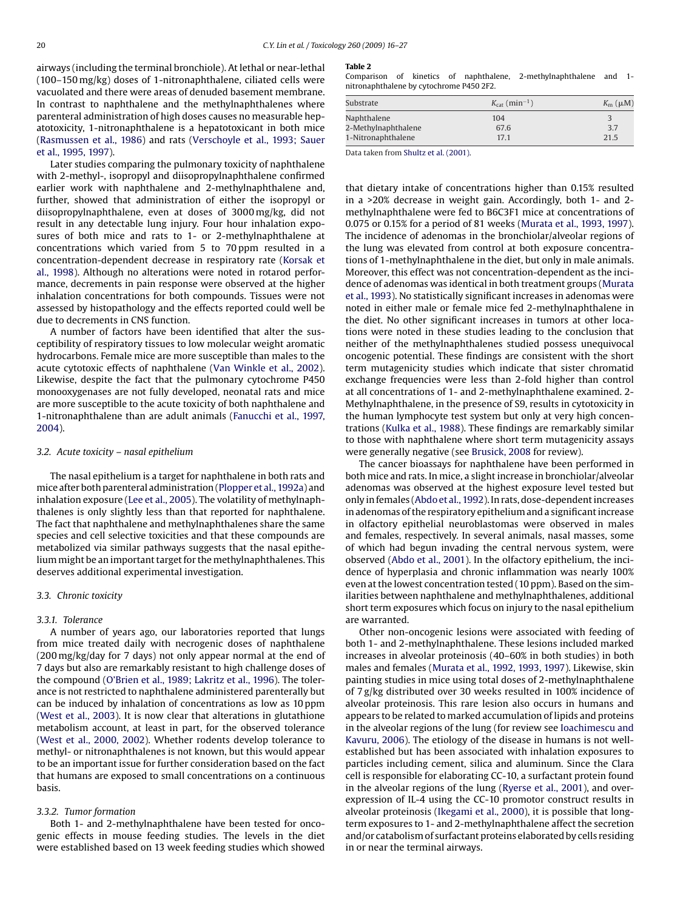<span id="page-4-0"></span>airways (including the terminal bronchiole). At lethal or near-lethal (100–150 mg/kg) doses of 1-nitronaphthalene, ciliated cells were vacuolated and there were areas of denuded basement membrane. In contrast to naphthalene and the methylnaphthalenes where parenteral administration of high doses causes no measurable hepatotoxicity, 1-nitronaphthalene is a hepatotoxicant in both mice ([Rasmussen et al., 1986\)](#page-10-0) and rats [\(Verschoyle et al., 1993; Sauer](#page-10-0) [et al., 1995, 1997\).](#page-10-0)

Later studies comparing the pulmonary toxicity of naphthalene with 2-methyl-, isopropyl and diisopropylnaphthalene confirmed earlier work with naphthalene and 2-methylnaphthalene and, further, showed that administration of either the isopropyl or diisopropylnaphthalene, even at doses of 3000 mg/kg, did not result in any detectable lung injury. Four hour inhalation exposures of both mice and rats to 1- or 2-methylnaphthalene at concentrations which varied from 5 to 70 ppm resulted in a concentration-dependent decrease in respiratory rate ([Korsak et](#page-10-0) [al., 1998\).](#page-10-0) Although no alterations were noted in rotarod performance, decrements in pain response were observed at the higher inhalation concentrations for both compounds. Tissues were not assessed by histopathology and the effects reported could well be due to decrements in CNS function.

A number of factors have been identified that alter the susceptibility of respiratory tissues to low molecular weight aromatic hydrocarbons. Female mice are more susceptible than males to the acute cytotoxic effects of naphthalene [\(Van Winkle et al., 2002\).](#page-10-0) Likewise, despite the fact that the pulmonary cytochrome P450 monooxygenases are not fully developed, neonatal rats and mice are more susceptible to the acute toxicity of both naphthalene and 1-nitronaphthalene than are adult animals [\(Fanucchi et al., 1997,](#page-9-0) [2004\).](#page-9-0)

#### *3.2. Acute toxicity – nasal epithelium*

The nasal epithelium is a target for naphthalene in both rats and mice after both parenteral administration ([Plopper et al., 1992a\) a](#page-10-0)nd inhalation exposure ([Lee et al., 2005\).](#page-10-0) The volatility of methylnaphthalenes is only slightly less than that reported for naphthalene. The fact that naphthalene and methylnaphthalenes share the same species and cell selective toxicities and that these compounds are metabolized via similar pathways suggests that the nasal epithelium might be an important target for the methylnaphthalenes. This deserves additional experimental investigation.

#### *3.3. Chronic toxicity*

#### *3.3.1. Tolerance*

A number of years ago, our laboratories reported that lungs from mice treated daily with necrogenic doses of naphthalene (200 mg/kg/day for 7 days) not only appear normal at the end of 7 days but also are remarkably resistant to high challenge doses of the compound ([O'Brien et al., 1989; Lakritz et al., 1996\).](#page-10-0) The tolerance is not restricted to naphthalene administered parenterally but can be induced by inhalation of concentrations as low as 10 ppm ([West et al., 2003\).](#page-10-0) It is now clear that alterations in glutathione metabolism account, at least in part, for the observed tolerance ([West et al., 2000, 2002\).](#page-10-0) Whether rodents develop tolerance to methyl- or nitronaphthalenes is not known, but this would appear to be an important issue for further consideration based on the fact that humans are exposed to small concentrations on a continuous basis.

#### *3.3.2. Tumor formation*

Both 1- and 2-methylnaphthalene have been tested for oncogenic effects in mouse feeding studies. The levels in the diet were established based on 13 week feeding studies which showed

#### **Table 2**

Comparison of kinetics of naphthalene, 2-methylnaphthalene and 1 nitronaphthalene by cytochrome P450 2F2.

| Substrate           | $K_{\text{cat}}$ (min <sup>-1</sup> ) | $K_{\rm m}$ ( $\mu$ M) |  |
|---------------------|---------------------------------------|------------------------|--|
| Naphthalene         | 104                                   |                        |  |
| 2-Methylnaphthalene | 67.6                                  | 3.7                    |  |
| 1-Nitronaphthalene  | 17.1                                  | 21.5                   |  |

Data taken from [Shultz et al. \(2001\).](#page-10-0)

that dietary intake of concentrations higher than 0.15% resulted in a >20% decrease in weight gain. Accordingly, both 1- and 2 methylnaphthalene were fed to B6C3F1 mice at concentrations of 0.075 or 0.15% for a period of 81 weeks ([Murata et al., 1993, 1997\).](#page-10-0) The incidence of adenomas in the bronchiolar/alveolar regions of the lung was elevated from control at both exposure concentrations of 1-methylnaphthalene in the diet, but only in male animals. Moreover, this effect was not concentration-dependent as the incidence of adenomas was identical in both treatment groups [\(Murata](#page-10-0) [et al., 1993\).](#page-10-0) No statistically significant increases in adenomas were noted in either male or female mice fed 2-methylnaphthalene in the diet. No other significant increases in tumors at other locations were noted in these studies leading to the conclusion that neither of the methylnaphthalenes studied possess unequivocal oncogenic potential. These findings are consistent with the short term mutagenicity studies which indicate that sister chromatid exchange frequencies were less than 2-fold higher than control at all concentrations of 1- and 2-methylnaphthalene examined. 2- Methylnaphthalene, in the presence of S9, results in cytotoxicity in the human lymphocyte test system but only at very high concentrations [\(Kulka et al., 1988\).](#page-10-0) These findings are remarkably similar to those with naphthalene where short term mutagenicity assays were generally negative (see [Brusick, 2008](#page-9-0) for review).

The cancer bioassays for naphthalene have been performed in both mice and rats. In mice, a slight increase in bronchiolar/alveolar adenomas was observed at the highest exposure level tested but only in females ([Abdo et al., 1992\).](#page-9-0) In rats, dose-dependent increases in adenomas of the respiratory epithelium and a significant increase in olfactory epithelial neuroblastomas were observed in males and females, respectively. In several animals, nasal masses, some of which had begun invading the central nervous system, were observed ([Abdo et al., 2001\).](#page-9-0) In the olfactory epithelium, the incidence of hyperplasia and chronic inflammation was nearly 100% even at the lowest concentration tested (10 ppm). Based on the similarities between naphthalene and methylnaphthalenes, additional short term exposures which focus on injury to the nasal epithelium are warranted.

Other non-oncogenic lesions were associated with feeding of both 1- and 2-methylnaphthalene. These lesions included marked increases in alveolar proteinosis (40–60% in both studies) in both males and females [\(Murata et al., 1992, 1993, 1997\).](#page-10-0) Likewise, skin painting studies in mice using total doses of 2-methylnaphthalene of 7 g/kg distributed over 30 weeks resulted in 100% incidence of alveolar proteinosis. This rare lesion also occurs in humans and appears to be related to marked accumulation of lipids and proteins in the alveolar regions of the lung (for review see [Ioachimescu and](#page-9-0) [Kavuru, 2006\).](#page-9-0) The etiology of the disease in humans is not wellestablished but has been associated with inhalation exposures to particles including cement, silica and aluminum. Since the Clara cell is responsible for elaborating CC-10, a surfactant protein found in the alveolar regions of the lung [\(Ryerse et al., 2001\),](#page-10-0) and overexpression of IL-4 using the CC-10 promotor construct results in alveolar proteinosis ([Ikegami et al., 2000\),](#page-9-0) it is possible that longterm exposures to 1- and 2-methylnaphthalene affect the secretion and/or catabolism of surfactant proteins elaborated by cells residing in or near the terminal airways.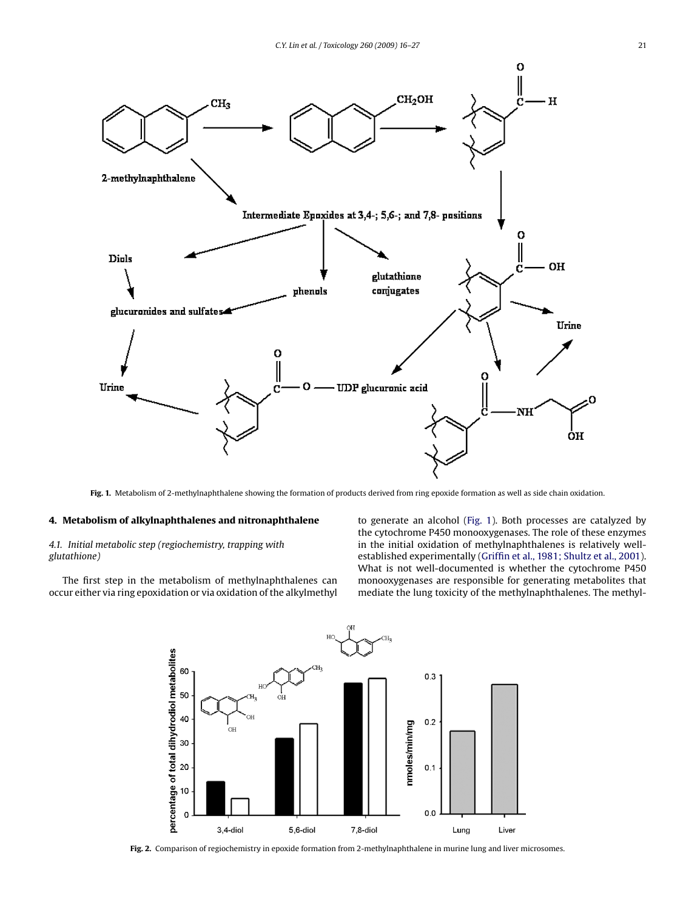<span id="page-5-0"></span>

**Fig. 1.** Metabolism of 2-methylnaphthalene showing the formation of products derived from ring epoxide formation as well as side chain oxidation.

### **4. Metabolism of alkylnaphthalenes and nitronaphthalene**

*4.1. Initial metabolic step (regiochemistry, trapping with glutathione)*

The first step in the metabolism of methylnaphthalenes can occur either via ring epoxidation or via oxidation of the alkylmethyl to generate an alcohol (Fig. 1). Both processes are catalyzed by the cytochrome P450 monooxygenases. The role of these enzymes in the initial oxidation of methylnaphthalenes is relatively wellestablished experimentally [\(Griffin et al., 1981; Shultz et al., 2001\).](#page-9-0) What is not well-documented is whether the cytochrome P450 monooxygenases are responsible for generating metabolites that mediate the lung toxicity of the methylnaphthalenes. The methyl-



**Fig. 2.** Comparison of regiochemistry in epoxide formation from 2-methylnaphthalene in murine lung and liver microsomes.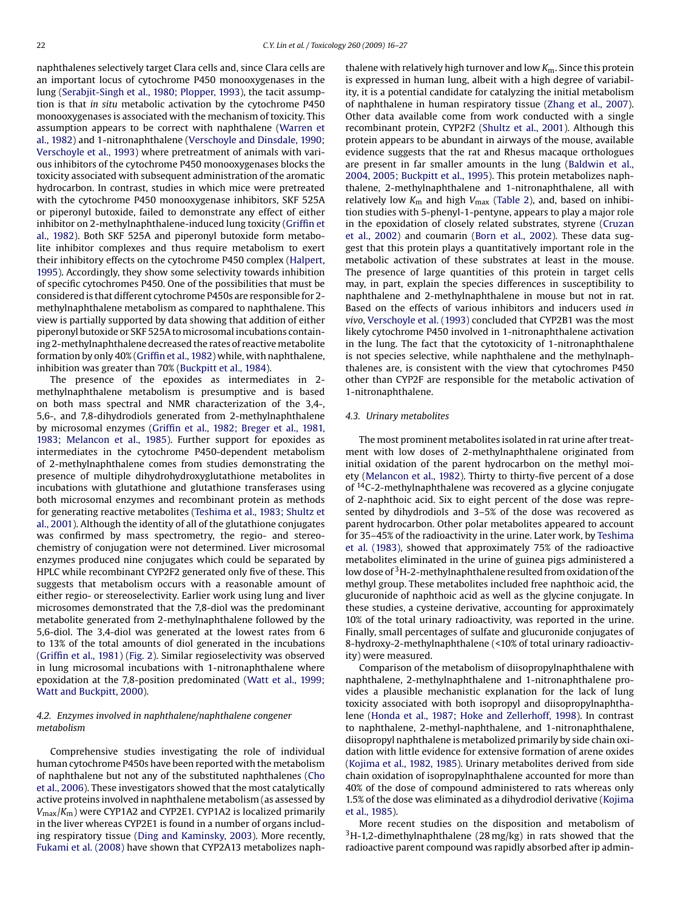naphthalenes selectively target Clara cells and, since Clara cells are an important locus of cytochrome P450 monooxygenases in the lung [\(Serabjit-Singh et al., 1980; Plopper, 1993\),](#page-10-0) the tacit assumption is that *in situ* metabolic activation by the cytochrome P450 monooxygenases is associated with the mechanism of toxicity. This assumption appears to be correct with naphthalene ([Warren et](#page-10-0) [al., 1982\)](#page-10-0) and 1-nitronaphthalene ([Verschoyle and Dinsdale, 1990;](#page-10-0) [Verschoyle et al., 1993\)](#page-10-0) where pretreatment of animals with various inhibitors of the cytochrome P450 monooxygenases blocks the toxicity associated with subsequent administration of the aromatic hydrocarbon. In contrast, studies in which mice were pretreated with the cytochrome P450 monooxygenase inhibitors, SKF 525A or piperonyl butoxide, failed to demonstrate any effect of either inhibitor on 2-methylnaphthalene-induced lung toxicity ([Griffin et](#page-9-0) [al., 1982\).](#page-9-0) Both SKF 525A and piperonyl butoxide form metabolite inhibitor complexes and thus require metabolism to exert their inhibitory effects on the cytochrome P450 complex ([Halpert,](#page-9-0) [1995\).](#page-9-0) Accordingly, they show some selectivity towards inhibition of specific cytochromes P450. One of the possibilities that must be considered is that different cytochrome P450s are responsible for 2 methylnaphthalene metabolism as compared to naphthalene. This view is partially supported by data showing that addition of either piperonyl butoxide or SKF 525A to microsomal incubations containing 2-methylnaphthalene decreased the rates of reactive metabolite formation by only 40% [\(Griffin et al., 1982\) w](#page-9-0)hile, with naphthalene, inhibition was greater than 70% [\(Buckpitt et al., 1984\).](#page-9-0)

The presence of the epoxides as intermediates in 2 methylnaphthalene metabolism is presumptive and is based on both mass spectral and NMR characterization of the 3,4-, 5,6-, and 7,8-dihydrodiols generated from 2-methylnaphthalene by microsomal enzymes ([Griffin et al., 1982; Breger et al., 1981,](#page-9-0) [1983; Melancon et al., 1985\).](#page-9-0) Further support for epoxides as intermediates in the cytochrome P450-dependent metabolism of 2-methylnaphthalene comes from studies demonstrating the presence of multiple dihydrohydroxyglutathione metabolites in incubations with glutathione and glutathione transferases using both microsomal enzymes and recombinant protein as methods for generating reactive metabolites [\(Teshima et al., 1983; Shultz et](#page-10-0) [al., 2001\).](#page-10-0) Although the identity of all of the glutathione conjugates was confirmed by mass spectrometry, the regio- and stereochemistry of conjugation were not determined. Liver microsomal enzymes produced nine conjugates which could be separated by HPLC while recombinant CYP2F2 generated only five of these. This suggests that metabolism occurs with a reasonable amount of either regio- or stereoselectivity. Earlier work using lung and liver microsomes demonstrated that the 7,8-diol was the predominant metabolite generated from 2-methylnaphthalene followed by the 5,6-diol. The 3,4-diol was generated at the lowest rates from 6 to 13% of the total amounts of diol generated in the incubations ([Griffin et al., 1981\)](#page-9-0) ([Fig. 2\).](#page-5-0) Similar regioselectivity was observed in lung microsomal incubations with 1-nitronaphthalene where epoxidation at the 7,8-position predominated ([Watt et al., 1999;](#page-10-0) [Watt and Buckpitt, 2000\).](#page-10-0)

### *4.2. Enzymes involved in naphthalene/naphthalene congener metabolism*

Comprehensive studies investigating the role of individual human cytochrome P450s have been reported with the metabolism of naphthalene but not any of the substituted naphthalenes ([Cho](#page-9-0) [et al., 2006\).](#page-9-0) These investigators showed that the most catalytically active proteins involved in naphthalene metabolism (as assessed by *V*max/*K*m) were CYP1A2 and CYP2E1. CYP1A2 is localized primarily in the liver whereas CYP2E1 is found in a number of organs including respiratory tissue [\(Ding and Kaminsky, 2003\).](#page-9-0) More recently, [Fukami et al. \(2008\)](#page-9-0) have shown that CYP2A13 metabolizes naphthalene with relatively high turnover and low *K*m. Since this protein is expressed in human lung, albeit with a high degree of variability, it is a potential candidate for catalyzing the initial metabolism of naphthalene in human respiratory tissue ([Zhang et al., 2007\).](#page-11-0) Other data available come from work conducted with a single recombinant protein, CYP2F2 [\(Shultz et al., 2001\).](#page-10-0) Although this protein appears to be abundant in airways of the mouse, available evidence suggests that the rat and Rhesus macaque orthologues are present in far smaller amounts in the lung [\(Baldwin et al.,](#page-9-0) [2004, 2005; Buckpitt et al., 1995\).](#page-9-0) This protein metabolizes naphthalene, 2-methylnaphthalene and 1-nitronaphthalene, all with relatively low  $K_m$  and high  $V_{max}$  ([Table 2\),](#page-4-0) and, based on inhibition studies with 5-phenyl-1-pentyne, appears to play a major role in the epoxidation of closely related substrates, styrene [\(Cruzan](#page-9-0) [et al., 2002\)](#page-9-0) and coumarin ([Born et al., 2002\).](#page-9-0) These data suggest that this protein plays a quantitatively important role in the metabolic activation of these substrates at least in the mouse. The presence of large quantities of this protein in target cells may, in part, explain the species differences in susceptibility to naphthalene and 2-methylnaphthalene in mouse but not in rat. Based on the effects of various inhibitors and inducers used *in vivo*, [Verschoyle et al. \(1993\)](#page-10-0) concluded that CYP2B1 was the most likely cytochrome P450 involved in 1-nitronaphthalene activation in the lung. The fact that the cytotoxicity of 1-nitronaphthalene is not species selective, while naphthalene and the methylnaphthalenes are, is consistent with the view that cytochromes P450 other than CYP2F are responsible for the metabolic activation of 1-nitronaphthalene.

#### *4.3. Urinary metabolites*

The most prominent metabolites isolated in rat urine after treatment with low doses of 2-methylnaphthalene originated from initial oxidation of the parent hydrocarbon on the methyl moiety [\(Melancon et al., 1982\).](#page-10-0) Thirty to thirty-five percent of a dose of  $14C-2$ -methylnaphthalene was recovered as a glycine conjugate of 2-naphthoic acid. Six to eight percent of the dose was represented by dihydrodiols and 3–5% of the dose was recovered as parent hydrocarbon. Other polar metabolites appeared to account for 35–45% of the radioactivity in the urine. Later work, by [Teshima](#page-10-0) [et al. \(1983\),](#page-10-0) showed that approximately 75% of the radioactive metabolites eliminated in the urine of guinea pigs administered a low dose of <sup>3</sup>H-2-methylnaphthalene resulted from oxidation of the methyl group. These metabolites included free naphthoic acid, the glucuronide of naphthoic acid as well as the glycine conjugate. In these studies, a cysteine derivative, accounting for approximately 10% of the total urinary radioactivity, was reported in the urine. Finally, small percentages of sulfate and glucuronide conjugates of 8-hydroxy-2-methylnaphthalene (<10% of total urinary radioactivity) were measured.

Comparison of the metabolism of diisopropylnaphthalene with naphthalene, 2-methylnaphthalene and 1-nitronaphthalene provides a plausible mechanistic explanation for the lack of lung toxicity associated with both isopropyl and diisopropylnaphthalene ([Honda et al., 1987; Hoke and Zellerhoff, 1998\).](#page-9-0) In contrast to naphthalene, 2-methyl-naphthalene, and 1-nitronaphthalene, diisopropyl naphthalene is metabolized primarily by side chain oxidation with little evidence for extensive formation of arene oxides [\(Kojima et al., 1982, 1985\).](#page-10-0) Urinary metabolites derived from side chain oxidation of isopropylnaphthalene accounted for more than 40% of the dose of compound administered to rats whereas only 1.5% of the dose was eliminated as a dihydrodiol derivative [\(Kojima](#page-10-0) [et al., 1985\).](#page-10-0)

More recent studies on the disposition and metabolism of  $3H-1,2$ -dimethylnaphthalene (28 mg/kg) in rats showed that the radioactive parent compound was rapidly absorbed after ip admin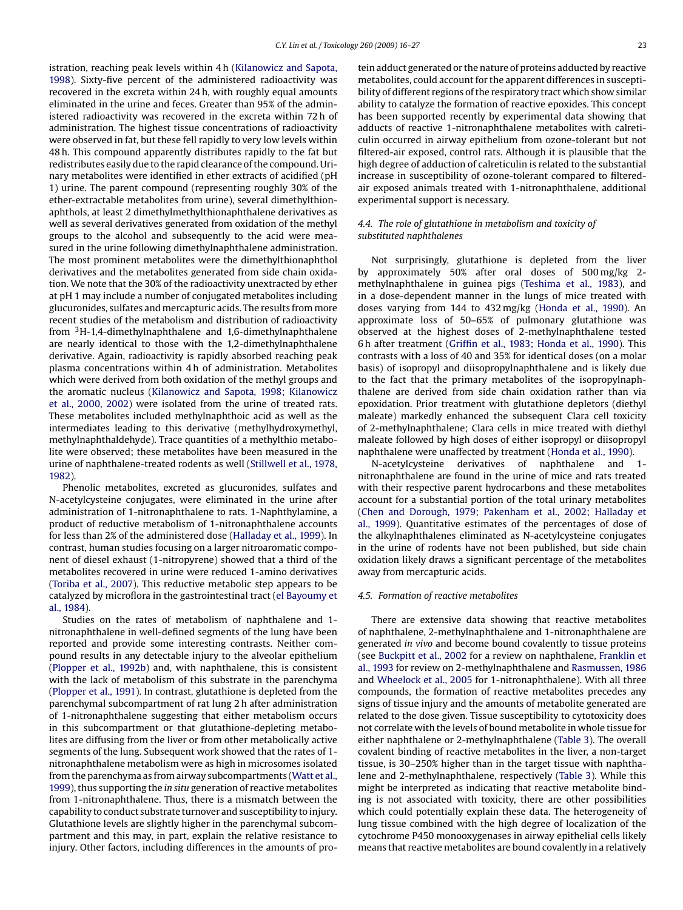istration, reaching peak levels within 4 h [\(Kilanowicz and Sapota,](#page-10-0) [1998\).](#page-10-0) Sixty-five percent of the administered radioactivity was recovered in the excreta within 24 h, with roughly equal amounts eliminated in the urine and feces. Greater than 95% of the administered radioactivity was recovered in the excreta within 72 h of administration. The highest tissue concentrations of radioactivity were observed in fat, but these fell rapidly to very low levels within 48 h. This compound apparently distributes rapidly to the fat but redistributes easily due to the rapid clearance of the compound. Urinary metabolites were identified in ether extracts of acidified (pH 1) urine. The parent compound (representing roughly 30% of the ether-extractable metabolites from urine), several dimethylthionaphthols, at least 2 dimethylmethylthionaphthalene derivatives as well as several derivatives generated from oxidation of the methyl groups to the alcohol and subsequently to the acid were measured in the urine following dimethylnaphthalene administration. The most prominent metabolites were the dimethylthionaphthol derivatives and the metabolites generated from side chain oxidation. We note that the 30% of the radioactivity unextracted by ether at pH 1 may include a number of conjugated metabolites including glucuronides, sulfates and mercapturic acids. The results from more recent studies of the metabolism and distribution of radioactivity from 3H-1,4-dimethylnaphthalene and 1,6-dimethylnaphthalene are nearly identical to those with the 1,2-dimethylnaphthalene derivative. Again, radioactivity is rapidly absorbed reaching peak plasma concentrations within 4 h of administration. Metabolites which were derived from both oxidation of the methyl groups and the aromatic nucleus ([Kilanowicz and Sapota, 1998; Kilanowicz](#page-10-0) [et al., 2000, 2002\)](#page-10-0) were isolated from the urine of treated rats. These metabolites included methylnaphthoic acid as well as the intermediates leading to this derivative (methylhydroxymethyl, methylnaphthaldehyde). Trace quantities of a methylthio metabolite were observed; these metabolites have been measured in the urine of naphthalene-treated rodents as well [\(Stillwell et al., 1978,](#page-10-0) [1982\).](#page-10-0)

Phenolic metabolites, excreted as glucuronides, sulfates and N-acetylcysteine conjugates, were eliminated in the urine after administration of 1-nitronaphthalene to rats. 1-Naphthylamine, a product of reductive metabolism of 1-nitronaphthalene accounts for less than 2% of the administered dose [\(Halladay et al., 1999\).](#page-9-0) In contrast, human studies focusing on a larger nitroaromatic component of diesel exhaust (1-nitropyrene) showed that a third of the metabolites recovered in urine were reduced 1-amino derivatives ([Toriba et al., 2007\).](#page-10-0) This reductive metabolic step appears to be catalyzed by microflora in the gastrointestinal tract [\(el Bayoumy et](#page-9-0) [al., 1984\).](#page-9-0)

Studies on the rates of metabolism of naphthalene and 1 nitronaphthalene in well-defined segments of the lung have been reported and provide some interesting contrasts. Neither compound results in any detectable injury to the alveolar epithelium ([Plopper et al., 1992b\)](#page-10-0) and, with naphthalene, this is consistent with the lack of metabolism of this substrate in the parenchyma ([Plopper et al., 1991\).](#page-10-0) In contrast, glutathione is depleted from the parenchymal subcompartment of rat lung 2 h after administration of 1-nitronaphthalene suggesting that either metabolism occurs in this subcompartment or that glutathione-depleting metabolites are diffusing from the liver or from other metabolically active segments of the lung. Subsequent work showed that the rates of 1 nitronaphthalene metabolism were as high in microsomes isolated from the parenchyma as from airway subcompartments ([Watt et al.,](#page-10-0) [1999\),](#page-10-0) thus supporting the *in situ* generation of reactive metabolites from 1-nitronaphthalene. Thus, there is a mismatch between the capability to conduct substrate turnover and susceptibility to injury. Glutathione levels are slightly higher in the parenchymal subcompartment and this may, in part, explain the relative resistance to injury. Other factors, including differences in the amounts of protein adduct generated or the nature of proteins adducted by reactive metabolites, could account for the apparent differences in susceptibility of different regions of the respiratory tract which show similar ability to catalyze the formation of reactive epoxides. This concept has been supported recently by experimental data showing that adducts of reactive 1-nitronaphthalene metabolites with calreticulin occurred in airway epithelium from ozone-tolerant but not filtered-air exposed, control rats. Although it is plausible that the high degree of adduction of calreticulin is related to the substantial increase in susceptibility of ozone-tolerant compared to filteredair exposed animals treated with 1-nitronaphthalene, additional experimental support is necessary.

# *4.4. The role of glutathione in metabolism and toxicity of substituted naphthalenes*

Not surprisingly, glutathione is depleted from the liver by approximately 50% after oral doses of 500 mg/kg 2 methylnaphthalene in guinea pigs [\(Teshima et al., 1983\),](#page-10-0) and in a dose-dependent manner in the lungs of mice treated with doses varying from 144 to 432 mg/kg [\(Honda et al., 1990\).](#page-9-0) An approximate loss of 50–65% of pulmonary glutathione was observed at the highest doses of 2-methylnaphthalene tested 6 h after treatment ([Griffin et al., 1983; Honda et al., 1990\).](#page-9-0) This contrasts with a loss of 40 and 35% for identical doses (on a molar basis) of isopropyl and diisopropylnaphthalene and is likely due to the fact that the primary metabolites of the isopropylnaphthalene are derived from side chain oxidation rather than via epoxidation. Prior treatment with glutathione depletors (diethyl maleate) markedly enhanced the subsequent Clara cell toxicity of 2-methylnaphthalene; Clara cells in mice treated with diethyl maleate followed by high doses of either isopropyl or diisopropyl naphthalene were unaffected by treatment ([Honda et al., 1990\).](#page-9-0)

N-acetylcysteine derivatives of naphthalene and 1 nitronaphthalene are found in the urine of mice and rats treated with their respective parent hydrocarbons and these metabolites account for a substantial portion of the total urinary metabolites [\(Chen and Dorough, 1979; Pakenham et al., 2002; Halladay et](#page-9-0) [al., 1999\).](#page-9-0) Quantitative estimates of the percentages of dose of the alkylnaphthalenes eliminated as N-acetylcysteine conjugates in the urine of rodents have not been published, but side chain oxidation likely draws a significant percentage of the metabolites away from mercapturic acids.

#### *4.5. Formation of reactive metabolites*

There are extensive data showing that reactive metabolites of naphthalene, 2-methylnaphthalene and 1-nitronaphthalene are generated *in vivo* and become bound covalently to tissue proteins (see [Buckpitt et al., 2002](#page-9-0) for a review on naphthalene, [Franklin et](#page-9-0) [al., 1993](#page-9-0) for review on 2-methylnaphthalene and [Rasmussen, 1986](#page-10-0) and [Wheelock et al., 2005](#page-11-0) for 1-nitronaphthalene). With all three compounds, the formation of reactive metabolites precedes any signs of tissue injury and the amounts of metabolite generated are related to the dose given. Tissue susceptibility to cytotoxicity does not correlate with the levels of bound metabolite in whole tissue for either naphthalene or 2-methylnaphthalene ([Table 3\).](#page-8-0) The overall covalent binding of reactive metabolites in the liver, a non-target tissue, is 30–250% higher than in the target tissue with naphthalene and 2-methylnaphthalene, respectively ([Table 3\).](#page-8-0) While this might be interpreted as indicating that reactive metabolite binding is not associated with toxicity, there are other possibilities which could potentially explain these data. The heterogeneity of lung tissue combined with the high degree of localization of the cytochrome P450 monooxygenases in airway epithelial cells likely means that reactive metabolites are bound covalently in a relatively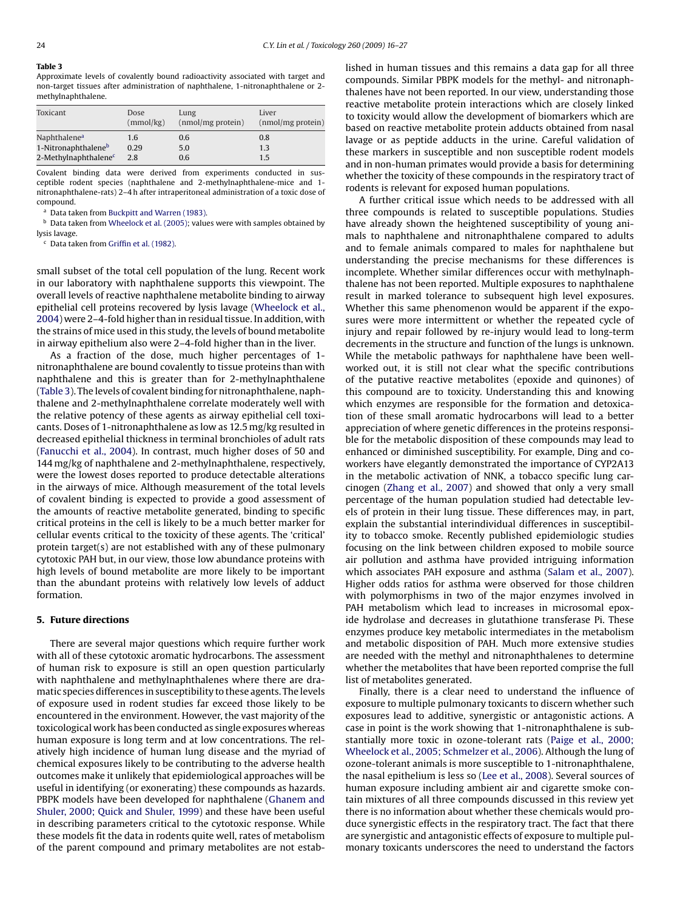<span id="page-8-0"></span>**Table 3**

Approximate levels of covalently bound radioactivity associated with target and non-target tissues after administration of naphthalene, 1-nitronaphthalene or 2 methylnaphthalene.

| Toxicant                         | Dose      | Lung                 | Liver               |  |
|----------------------------------|-----------|----------------------|---------------------|--|
|                                  | (mmol/kg) | $(nmol/mg)$ protein) | $(nmol/mg)$ protein |  |
| Naphthalene <sup>a</sup>         | 1.6       | 0.6                  | 0.8                 |  |
| 1-Nitronaphthalene <sup>b</sup>  | 0.29      | 5.0                  | 1.3                 |  |
| 2-Methylnaphthalene <sup>c</sup> | 2.8       | 0.6                  | 1.5                 |  |

Covalent binding data were derived from experiments conducted in susceptible rodent species (naphthalene and 2-methylnaphthalene-mice and 1 nitronaphthalene-rats) 2–4 h after intraperitoneal administration of a toxic dose of compound.

<sup>a</sup> Data taken from [Buckpitt and Warren \(1983\).](#page-9-0)

b Data taken from [Wheelock et al. \(2005\); v](#page-11-0)alues were with samples obtained by lysis lavage.

<sup>c</sup> Data taken from [Griffin et al. \(1982\).](#page-9-0)

small subset of the total cell population of the lung. Recent work in our laboratory with naphthalene supports this viewpoint. The overall levels of reactive naphthalene metabolite binding to airway epithelial cell proteins recovered by lysis lavage [\(Wheelock et al.,](#page-11-0) [2004\) w](#page-11-0)ere 2–4-fold higher than in residual tissue. In addition, with the strains of mice used in this study, the levels of bound metabolite in airway epithelium also were 2–4-fold higher than in the liver.

As a fraction of the dose, much higher percentages of 1 nitronaphthalene are bound covalently to tissue proteins than with naphthalene and this is greater than for 2-methylnaphthalene (Table 3). The levels of covalent binding for nitronaphthalene, naphthalene and 2-methylnaphthalene correlate moderately well with the relative potency of these agents as airway epithelial cell toxicants. Doses of 1-nitronaphthalene as low as 12.5 mg/kg resulted in decreased epithelial thickness in terminal bronchioles of adult rats ([Fanucchi et al., 2004\).](#page-9-0) In contrast, much higher doses of 50 and 144 mg/kg of naphthalene and 2-methylnaphthalene, respectively, were the lowest doses reported to produce detectable alterations in the airways of mice. Although measurement of the total levels of covalent binding is expected to provide a good assessment of the amounts of reactive metabolite generated, binding to specific critical proteins in the cell is likely to be a much better marker for cellular events critical to the toxicity of these agents. The 'critical' protein target(s) are not established with any of these pulmonary cytotoxic PAH but, in our view, those low abundance proteins with high levels of bound metabolite are more likely to be important than the abundant proteins with relatively low levels of adduct formation.

## **5. Future directions**

There are several major questions which require further work with all of these cytotoxic aromatic hydrocarbons. The assessment of human risk to exposure is still an open question particularly with naphthalene and methylnaphthalenes where there are dramatic species differences in susceptibility to these agents. The levels of exposure used in rodent studies far exceed those likely to be encountered in the environment. However, the vast majority of the toxicological work has been conducted as single exposures whereas human exposure is long term and at low concentrations. The relatively high incidence of human lung disease and the myriad of chemical exposures likely to be contributing to the adverse health outcomes make it unlikely that epidemiological approaches will be useful in identifying (or exonerating) these compounds as hazards. PBPK models have been developed for naphthalene ([Ghanem and](#page-9-0) [Shuler, 2000; Quick and Shuler, 1999\)](#page-9-0) and these have been useful in describing parameters critical to the cytotoxic response. While these models fit the data in rodents quite well, rates of metabolism of the parent compound and primary metabolites are not established in human tissues and this remains a data gap for all three compounds. Similar PBPK models for the methyl- and nitronaphthalenes have not been reported. In our view, understanding those reactive metabolite protein interactions which are closely linked to toxicity would allow the development of biomarkers which are based on reactive metabolite protein adducts obtained from nasal lavage or as peptide adducts in the urine. Careful validation of these markers in susceptible and non susceptible rodent models and in non-human primates would provide a basis for determining whether the toxicity of these compounds in the respiratory tract of rodents is relevant for exposed human populations.

A further critical issue which needs to be addressed with all three compounds is related to susceptible populations. Studies have already shown the heightened susceptibility of young animals to naphthalene and nitronaphthalene compared to adults and to female animals compared to males for naphthalene but understanding the precise mechanisms for these differences is incomplete. Whether similar differences occur with methylnaphthalene has not been reported. Multiple exposures to naphthalene result in marked tolerance to subsequent high level exposures. Whether this same phenomenon would be apparent if the exposures were more intermittent or whether the repeated cycle of injury and repair followed by re-injury would lead to long-term decrements in the structure and function of the lungs is unknown. While the metabolic pathways for naphthalene have been wellworked out, it is still not clear what the specific contributions of the putative reactive metabolites (epoxide and quinones) of this compound are to toxicity. Understanding this and knowing which enzymes are responsible for the formation and detoxication of these small aromatic hydrocarbons will lead to a better appreciation of where genetic differences in the proteins responsible for the metabolic disposition of these compounds may lead to enhanced or diminished susceptibility. For example, Ding and coworkers have elegantly demonstrated the importance of CYP2A13 in the metabolic activation of NNK, a tobacco specific lung carcinogen ([Zhang et al., 2007\)](#page-11-0) and showed that only a very small percentage of the human population studied had detectable levels of protein in their lung tissue. These differences may, in part, explain the substantial interindividual differences in susceptibility to tobacco smoke. Recently published epidemiologic studies focusing on the link between children exposed to mobile source air pollution and asthma have provided intriguing information which associates PAH exposure and asthma [\(Salam et al., 2007\).](#page-10-0) Higher odds ratios for asthma were observed for those children with polymorphisms in two of the major enzymes involved in PAH metabolism which lead to increases in microsomal epoxide hydrolase and decreases in glutathione transferase Pi. These enzymes produce key metabolic intermediates in the metabolism and metabolic disposition of PAH. Much more extensive studies are needed with the methyl and nitronaphthalenes to determine whether the metabolites that have been reported comprise the full list of metabolites generated.

Finally, there is a clear need to understand the influence of exposure to multiple pulmonary toxicants to discern whether such exposures lead to additive, synergistic or antagonistic actions. A case in point is the work showing that 1-nitronaphthalene is substantially more toxic in ozone-tolerant rats [\(Paige et al., 2000;](#page-10-0) [Wheelock et al., 2005; Schmelzer et al., 2006\).](#page-10-0) Although the lung of ozone-tolerant animals is more susceptible to 1-nitronaphthalene, the nasal epithelium is less so ([Lee et al., 2008\).](#page-10-0) Several sources of human exposure including ambient air and cigarette smoke contain mixtures of all three compounds discussed in this review yet there is no information about whether these chemicals would produce synergistic effects in the respiratory tract. The fact that there are synergistic and antagonistic effects of exposure to multiple pulmonary toxicants underscores the need to understand the factors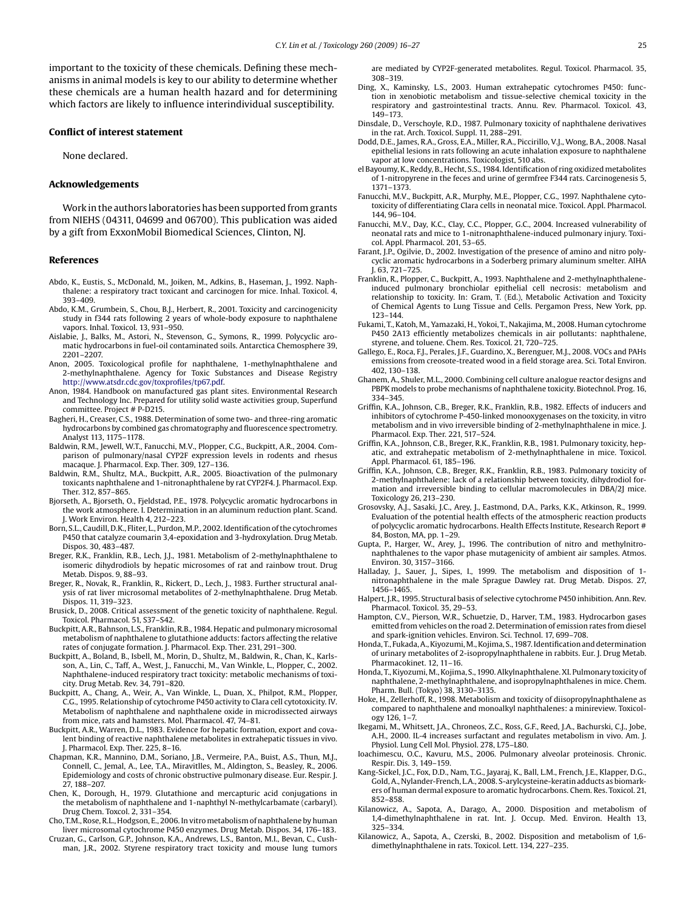<span id="page-9-0"></span>important to the toxicity of these chemicals. Defining these mechanisms in animal models is key to our ability to determine whether these chemicals are a human health hazard and for determining which factors are likely to influence interindividual susceptibility.

#### **Conflict of interest statement**

None declared.

#### **Acknowledgements**

Work in the authors laboratories has been supported from grants from NIEHS (04311, 04699 and 06700). This publication was aided by a gift from ExxonMobil Biomedical Sciences, Clinton, NJ.

### **References**

- Abdo, K., Eustis, S., McDonald, M., Joiken, M., Adkins, B., Haseman, J., 1992. Naphthalene: a respiratory tract toxicant and carcinogen for mice. Inhal. Toxicol. 4, 393–409.
- Abdo, K.M., Grumbein, S., Chou, B.J., Herbert, R., 2001. Toxicity and carcinogenicity study in f344 rats following 2 years of whole-body exposure to naphthalene vapors. Inhal. Toxicol. 13, 931–950.
- Aislabie, J., Balks, M., Astori, N., Stevenson, G., Symons, R., 1999. Polycyclic aromatic hydrocarbons in fuel-oil contaminated soils. Antarctica Chemosphere 39, 2201–2207.
- Anon, 2005. Toxicological profile for naphthalene, 1-methylnaphthalene and 2-methylnaphthalene. Agency for Toxic Substances and Disease Registry [http://www.atsdr.cdc.gov/toxprofiles/tp67.pdf.](http://www.atsdr.cdc.gov/toxprofiles/tp67.pdf)
- Anon, 1984. Handbook on manufactured gas plant sites. Environmental Research and Technology Inc. Prepared for utility solid waste activities group, Superfund committee. Project # P-D215.
- Bagheri, H., Creaser, C.S., 1988. Determination of some two- and three-ring aromatic hydrocarbons by combined gas chromatography and fluorescence spectrometry. Analyst 113, 1175–1178.
- Baldwin, R.M., Jewell, W.T., Fanucchi, M.V., Plopper, C.G., Buckpitt, A.R., 2004. Comparison of pulmonary/nasal CYP2F expression levels in rodents and rhesus macaque. J. Pharmacol. Exp. Ther. 309, 127–136.
- Baldwin, R.M., Shultz, M.A., Buckpitt, A.R., 2005. Bioactivation of the pulmonary toxicants naphthalene and 1-nitronaphthalene by rat CYP2F4. J. Pharmacol. Exp. Ther. 312, 857–865.
- Bjorseth, A., Bjorseth, O., Fjeldstad, P.E., 1978. Polycyclic aromatic hydrocarbons in the work atmosphere. I. Determination in an aluminum reduction plant. Scand. J. Work Environ. Health 4, 212–223.
- Born, S.L., Caudill, D.K., Fliter, L., Purdon, M.P., 2002. Identification of the cytochromes P450 that catalyze coumarin 3,4-epoxidation and 3-hydroxylation. Drug Metab. Dispos. 30, 483–487.
- Breger, R.K., Franklin, R.B., Lech, J.J., 1981. Metabolism of 2-methylnaphthalene to isomeric dihydrodiols by hepatic microsomes of rat and rainbow trout. Drug Metab. Dispos. 9, 88–93.
- Breger, R., Novak, R., Franklin, R., Rickert, D., Lech, J., 1983. Further structural analysis of rat liver microsomal metabolites of 2-methylnaphthalene. Drug Metab. Dispos. 11, 319–323.
- Brusick, D., 2008. Critical assessment of the genetic toxicity of naphthalene. Regul. Toxicol. Pharmacol. 51, S37–S42.
- Buckpitt, A.R., Bahnson, L.S., Franklin, R.B., 1984. Hepatic and pulmonary microsomal metabolism of naphthalene to glutathione adducts: factors affecting the relative rates of conjugate formation. J. Pharmacol. Exp. Ther. 231, 291–300.
- Buckpitt, A., Boland, B., Isbell, M., Morin, D., Shultz, M., Baldwin, R., Chan, K., Karlsson, A., Lin, C., Taff, A., West, J., Fanucchi, M., Van Winkle, L., Plopper, C., 2002. Naphthalene-induced respiratory tract toxicity: metabolic mechanisms of toxicity. Drug Metab. Rev. 34, 791–820.
- Buckpitt, A., Chang, A., Weir, A., Van Winkle, L., Duan, X., Philpot, R.M., Plopper, C.G., 1995. Relationship of cytochrome P450 activity to Clara cell cytotoxicity. IV. Metabolism of naphthalene and naphthalene oxide in microdissected airways from mice, rats and hamsters. Mol. Pharmacol. 47, 74–81.
- Buckpitt, A.R., Warren, D.L., 1983. Evidence for hepatic formation, export and covalent binding of reactive naphthalene metabolites in extrahepatic tissues in vivo. J. Pharmacol. Exp. Ther. 225, 8–16.
- Chapman, K.R., Mannino, D.M., Soriano, J.B., Vermeire, P.A., Buist, A.S., Thun, M.J., Connell, C., Jemal, A., Lee, T.A., Miravitlles, M., Aldington, S., Beasley, R., 2006. Epidemiology and costs of chronic obstructive pulmonary disease. Eur. Respir. J. 27, 188–207.
- Chen, K., Dorough, H., 1979. Glutathione and mercapturic acid conjugations in the metabolism of naphthalene and 1-naphthyl N-methylcarbamate (carbaryl). Drug Chem. Toxcol. 2, 331–354.
- Cho, T.M., Rose, R.L., Hodgson, E., 2006. In vitro metabolism of naphthalene by human liver microsomal cytochrome P450 enzymes. Drug Metab. Dispos. 34, 176–183.
- Cruzan, G., Carlson, G.P., Johnson, K.A., Andrews, L.S., Banton, M.I., Bevan, C., Cushman, J.R., 2002. Styrene respiratory tract toxicity and mouse lung tumors

are mediated by CYP2F-generated metabolites. Regul. Toxicol. Pharmacol. 35, 308–319.

- Ding, X., Kaminsky, L.S., 2003. Human extrahepatic cytochromes P450: function in xenobiotic metabolism and tissue-selective chemical toxicity in the respiratory and gastrointestinal tracts. Annu. Rev. Pharmacol. Toxicol. 43, 149–173.
- Dinsdale, D., Verschoyle, R.D., 1987. Pulmonary toxicity of naphthalene derivatives in the rat. Arch. Toxicol. Suppl. 11, 288–291.
- Dodd, D.E., James, R.A., Gross, E.A., Miller, R.A., Piccirillo, V.J., Wong, B.A., 2008. Nasal epithelial lesions in rats following an acute inhalation exposure to naphthalene vapor at low concentrations. Toxicologist, 510 abs.
- el Bayoumy, K., Reddy, B., Hecht, S.S., 1984. Identification of ring oxidized metabolites of 1-nitropyrene in the feces and urine of germfree F344 rats. Carcinogenesis 5, 1371–1373.
- Fanucchi, M.V., Buckpitt, A.R., Murphy, M.E., Plopper, C.G., 1997. Naphthalene cytotoxicity of differentiating Clara cells in neonatal mice. Toxicol. Appl. Pharmacol. 144, 96–104.
- Fanucchi, M.V., Day, K.C., Clay, C.C., Plopper, G.C., 2004. Increased vulnerability of neonatal rats and mice to 1-nitronaphthalene-induced pulmonary injury. Toxicol. Appl. Pharmacol. 201, 53–65.
- Farant, J.P., Ogilvie, D., 2002. Investigation of the presence of amino and nitro polycyclic aromatic hydrocarbons in a Soderberg primary aluminum smelter. AIHA J. 63, 721–725.
- Franklin, R., Plopper, C., Buckpitt, A., 1993. Naphthalene and 2-methylnaphthaleneinduced pulmonary bronchiolar epithelial cell necrosis: metabolism and relationship to toxicity. In: Gram, T. (Ed.), Metabolic Activation and Toxicity of Chemical Agents to Lung Tissue and Cells. Pergamon Press, New York, pp. 123–144.
- Fukami, T., Katoh, M., Yamazaki, H., Yokoi, T., Nakajima, M., 2008. Human cytochrome P450 2A13 efficiently metabolizes chemicals in air pollutants: naphthalene, styrene, and toluene. Chem. Res. Toxicol. 21, 720–725.
- Gallego, E., Roca, F.J., Perales, J.F., Guardino, X., Berenguer, M.J., 2008. VOCs and PAHs emissions from creosote-treated wood in a field storage area. Sci. Total Environ. 402, 130–138.
- Ghanem, A., Shuler, M.L., 2000. Combining cell culture analogue reactor designs and PBPK models to probe mechanisms of naphthalene toxicity. Biotechnol. Prog. 16, 334–345.
- Griffin, K.A., Johnson, C.B., Breger, R.K., Franklin, R.B., 1982. Effects of inducers and inhibitors of cytochrome P-450-linked monooxygenases on the toxicity, in vitro metabolism and in vivo irreversible binding of 2-methylnaphthalene in mice. J. Pharmacol. Exp. Ther. 221, 517–524.
- Griffin, K.A., Johnson, C.B., Breger, R.K., Franklin, R.B., 1981. Pulmonary toxicity, hepatic, and extrahepatic metabolism of 2-methylnaphthalene in mice. Toxicol. Appl. Pharmacol. 61, 185–196.
- Griffin, K.A., Johnson, C.B., Breger, R.K., Franklin, R.B., 1983. Pulmonary toxicity of 2-methylnaphthalene: lack of a relationship between toxicity, dihydrodiol formation and irreversible binding to cellular macromolecules in DBA/2J mice. Toxicology 26, 213–230.
- Grosovsky, A.J., Sasaki, J.C., Arey, J., Eastmond, D.A., Parks, K.K., Atkinson, R., 1999. Evaluation of the potential health effects of the atmospheric reaction products of polycyclic aromatic hydrocarbons. Health Effects Institute, Research Report # 84, Boston, MA, pp. 1–29.
- Gupta, P., Harger, W., Arey, J., 1996. The contribution of nitro and methylnitronaphthalenes to the vapor phase mutagenicity of ambient air samples. Atmos. Environ. 30, 3157–3166.
- Halladay, J., Sauer, J., Sipes, I., 1999. The metabolism and disposition of 1 nitronaphthalene in the male Sprague Dawley rat. Drug Metab. Dispos. 27, 1456–1465.
- Halpert, J.R., 1995. Structural basis of selective cytochrome P450 inhibition. Ann. Rev. Pharmacol. Toxicol. 35, 29–53.
- Hampton, C.V., Pierson, W.R., Schuetzie, D., Harver, T.M., 1983. Hydrocarbon gases emitted from vehicles on the road 2. Determination of emission rates from diesel and spark-ignition vehicles. Environ. Sci. Technol. 17, 699–708.
- Honda, T., Fukada, A., Kiyozumi, M., Kojima, S., 1987. Identification and determination of urinary metabolites of 2-isopropylnaphthalene in rabbits. Eur. J. Drug Metab. Pharmacokinet. 12, 11–16.
- Honda, T., Kiyozumi, M., Kojima, S., 1990. Alkylnaphthalene. XI. Pulmonary toxicity of naphthalene, 2-methylnaphthalene, and isopropylnaphthalenes in mice. Chem. Pharm. Bull. (Tokyo) 38, 3130–3135.
- Hoke, H., Zellerhoff, R., 1998. Metabolism and toxicity of diisopropylnaphthalene as compared to naphthalene and monoalkyl naphthalenes: a minireview. Toxicology 126, 1–7.
- Ikegami, M., Whitsett, J.A., Chroneos, Z.C., Ross, G.F., Reed, J.A., Bachurski, C.J., Jobe, A.H., 2000. IL-4 increases surfactant and regulates metabolism in vivo. Am. J. Physiol. Lung Cell Mol. Physiol. 278, L75–L80.
- Ioachimescu, O.C., Kavuru, M.S., 2006. Pulmonary alveolar proteinosis. Chronic. Respir. Dis. 3, 149–159.
- Kang-Sickel, J.C., Fox, D.D., Nam, T.G., Jayaraj, K., Ball, L.M., French, J.E., Klapper, D.G., Gold, A., Nylander-French, L.A., 2008. S-arylcysteine-keratin adducts as biomarkers of human dermal exposure to aromatic hydrocarbons. Chem. Res. Toxicol. 21, 852–858.
- Kilanowicz, A., Sapota, A., Darago, A., 2000. Disposition and metabolism of 1,4-dimethylnaphthalene in rat. Int. J. Occup. Med. Environ. Health 13, 325–334.
- Kilanowicz, A., Sapota, A., Czerski, B., 2002. Disposition and metabolism of 1,6 dimethylnaphthalene in rats. Toxicol. Lett. 134, 227–235.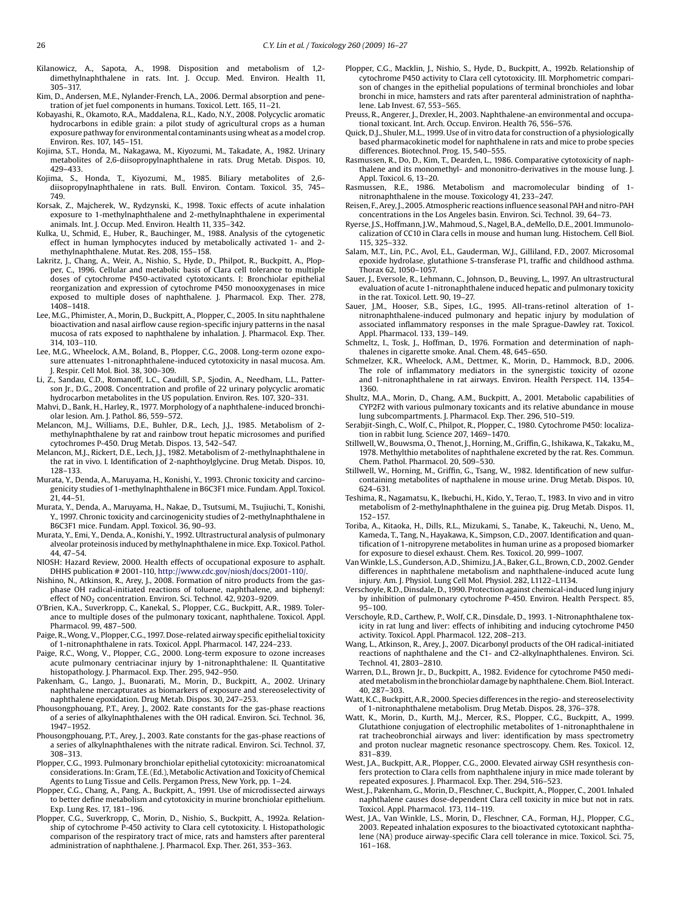<span id="page-10-0"></span>Kilanowicz, A., Sapota, A., 1998. Disposition and metabolism of 1,2 dimethylnaphthalene in rats. Int. J. Occup. Med. Environ. Health 11, 305–317.

Kim, D., Andersen, M.E., Nylander-French, L.A., 2006. Dermal absorption and penetration of jet fuel components in humans. Toxicol. Lett. 165, 11–21.

- Kobayashi, R., Okamoto, R.A., Maddalena, R.L., Kado, N.Y., 2008. Polycyclic aromatic hydrocarbons in edible grain: a pilot study of agricultural crops as a human exposure pathway for environmental contaminants using wheat as amodel crop. Environ. Res. 107, 145–151.
- Kojima, S.T., Honda, M., Nakagawa, M., Kiyozumi, M., Takadate, A., 1982. Urinary metabolites of 2,6-diisopropylnaphthalene in rats. Drug Metab. Dispos. 10, 429–433.
- Kojima, S., Honda, T., Kiyozumi, M., 1985. Biliary metabolites of 2,6 diisopropylnaphthalene in rats. Bull. Environ. Contam. Toxicol. 35, 745– 749.
- Korsak, Z., Majcherek, W., Rydzynski, K., 1998. Toxic effects of acute inhalation exposure to 1-methylnaphthalene and 2-methylnaphthalene in experimental animals. Int. J. Occup. Med. Environ. Health 11, 335–342.
- Kulka, U., Schmid, E., Huber, R., Bauchinger, M., 1988. Analysis of the cytogenetic effect in human lymphocytes induced by metabolically activated 1- and 2 methylnaphthalene. Mutat. Res. 208, 155–158.
- Lakritz, J., Chang, A., Weir, A., Nishio, S., Hyde, D., Philpot, R., Buckpitt, A., Plopper, C., 1996. Cellular and metabolic basis of Clara cell tolerance to multiple doses of cytochrome P450-activated cytotoxicants. I: Bronchiolar epithelial reorganization and expression of cytochrome P450 monooxygenases in mice exposed to multiple doses of naphthalene. J. Pharmacol. Exp. Ther. 278, 1408–1418.
- Lee, M.G., Phimister, A., Morin, D., Buckpitt, A., Plopper, C., 2005. In situ naphthalene bioactivation and nasal airflow cause region-specific injury patterns in the nasal mucosa of rats exposed to naphthalene by inhalation. J. Pharmacol. Exp. Ther. 314, 103–110.
- Lee, M.G., Wheelock, A.M., Boland, B., Plopper, C.G., 2008. Long-term ozone exposure attenuates 1-nitronaphthalene-induced cytotoxicity in nasal mucosa. Am. J. Respir. Cell Mol. Biol. 38, 300–309.
- Li, Z., Sandau, C.D., Romanoff, L.C., Caudill, S.P., Sjodin, A., Needham, L.L., Patterson Jr., D.G., 2008. Concentration and profile of 22 urinary polycyclic aromatic hydrocarbon metabolites in the US population. Environ. Res. 107, 320–331.
- Mahvi, D., Bank, H., Harley, R., 1977. Morphology of a naphthalene-induced bronchiolar lesion. Am. J. Pathol. 86, 559–572.
- Melancon, M.J., Williams, D.E., Buhler, D.R., Lech, J.J., 1985. Metabolism of 2 methylnaphthalene by rat and rainbow trout hepatic microsomes and purified cytochromes P-450. Drug Metab. Dispos. 13, 542–547.
- Melancon, M.J., Rickert, D.E., Lech, J.J., 1982. Metabolism of 2-methylnaphthalene in the rat in vivo. I. Identification of 2-naphthoylglycine. Drug Metab. Dispos. 10, 128–133.
- Murata, Y., Denda, A., Maruyama, H., Konishi, Y., 1993. Chronic toxicity and carcinogenicity studies of 1-methylnaphthalene in B6C3F1 mice. Fundam. Appl. Toxicol. 21, 44–51.
- Murata, Y., Denda, A., Maruyama, H., Nakae, D., Tsutsumi, M., Tsujiuchi, T., Konishi, Y., 1997. Chronic toxicity and carcinogenicity studies of 2-methylnaphthalene in B6C3F1 mice. Fundam. Appl. Toxicol. 36, 90–93.
- Murata, Y., Emi, Y., Denda, A., Konishi, Y., 1992. Ultrastructural analysis of pulmonary alveolar proteinosis induced by methylnaphthalene in mice. Exp. Toxicol. Pathol. 44, 47–54.
- NIOSH: Hazard Review, 2000. Health effects of occupational exposure to asphalt. DHHS publication # 2001-110, <http://www.cdc.gov/niosh/docs/2001-110/>.
- Nishino, N., Atkinson, R., Arey, J., 2008. Formation of nitro products from the gasphase OH radical-initiated reactions of toluene, naphthalene, and biphenyl: effect of  $NO<sub>2</sub>$  concentration. Environ. Sci. Technol. 42, 9203–9209.
- O'Brien, K.A., Suverkropp, C., Kanekal, S., Plopper, C.G., Buckpitt, A.R., 1989. Tolerance to multiple doses of the pulmonary toxicant, naphthalene. Toxicol. Appl. Pharmacol. 99, 487–500.
- Paige, R.,Wong, V., Plopper, C.G., 1997. Dose-related airway specific epithelial toxicity of 1-nitronaphthalene in rats. Toxicol. Appl. Pharmacol. 147, 224–233.
- Paige, R.C., Wong, V., Plopper, C.G., 2000. Long-term exposure to ozone increases acute pulmonary centriacinar injury by 1-nitronaphthalene: II. Quantitative histopathology. J. Pharmacol. Exp. Ther. 295, 942–950.
- Pakenham, G., Lango, J., Buonarati, M., Morin, D., Buckpitt, A., 2002. Urinary naphthalene mercapturates as biomarkers of exposure and stereoselectivity of naphthalene epoxidation. Drug Metab. Dispos. 30, 247–253.
- Phousongphouang, P.T., Arey, J., 2002. Rate constants for the gas-phase reactions of a series of alkylnaphthalenes with the OH radical. Environ. Sci. Technol. 36, 1947–1952.
- Phousongphouang, P.T., Arey, J., 2003. Rate constants for the gas-phase reactions of a series of alkylnaphthalenes with the nitrate radical. Environ. Sci. Technol. 37, 308–313.
- Plopper, C.G., 1993. Pulmonary bronchiolar epithelial cytotoxicity: microanatomical considerations. In: Gram, T.E. (Ed.), Metabolic Activation and Toxicity of Chemical Agents to Lung Tissue and Cells. Pergamon Press, New York, pp. 1–24.
- Plopper, C.G., Chang, A., Pang, A., Buckpitt, A., 1991. Use of microdissected airways to better define metabolism and cytotoxicity in murine bronchiolar epithelium. Exp. Lung Res. 17, 181–196.
- Plopper, C.G., Suverkropp, C., Morin, D., Nishio, S., Buckpitt, A., 1992a. Relationship of cytochrome P-450 activity to Clara cell cytotoxicity. I. Histopathologic comparison of the respiratory tract of mice, rats and hamsters after parenteral administration of naphthalene. J. Pharmacol. Exp. Ther. 261, 353–363.
- Plopper, C.G., Macklin, J., Nishio, S., Hyde, D., Buckpitt, A., 1992b. Relationship of cytochrome P450 activity to Clara cell cytotoxicity. III. Morphometric comparison of changes in the epithelial populations of terminal bronchioles and lobar bronchi in mice, hamsters and rats after parenteral administration of naphthalene. Lab Invest. 67, 553–565.
- Preuss, R., Angerer, J., Drexler, H., 2003. Naphthalene-an environmental and occupational toxicant. Int. Arch. Occup. Environ. Health 76, 556–576.
- Quick, D.J., Shuler, M.L., 1999. Use of in vitro data for construction of a physiologically based pharmacokinetic model for naphthalene in rats and mice to probe species differences. Biotechnol. Prog. 15, 540–555.
- Rasmussen, R., Do, D., Kim, T., Dearden, L., 1986. Comparative cytotoxicity of naphthalene and its monomethyl- and mononitro-derivatives in the mouse lung. J. Appl. Toxicol. 6, 13–20.
- Rasmussen, R.E., 1986. Metabolism and macromolecular binding of 1 nitronaphthalene in the mouse. Toxicology 41, 233–247.
- Reisen, F., Arey, J., 2005. Atmospheric reactions influence seasonal PAH and nitro-PAH concentrations in the Los Angeles basin. Environ. Sci. Technol. 39, 64–73.
- Ryerse, J.S., Hoffmann, J.W., Mahmoud, S., Nagel, B.A., deMello, D.E., 2001. Immunolocalization of CC10 in Clara cells in mouse and human lung. Histochem. Cell Biol. 115, 325–332.
- Salam, M.T., Lin, P.C., Avol, E.L., Gauderman, W.J., Gilliland, F.D., 2007. Microsomal epoxide hydrolase, glutathione S-transferase P1, traffic and childhood asthma. Thorax 62, 1050–1057.
- Sauer, J., Eversole, R., Lehmann, C., Johnson, D., Beuving, L., 1997. An ultrastructural evaluation of acute 1-nitronaphthalene induced hepatic and pulmonary toxicity in the rat. Toxicol. Lett. 90, 19–27.
- Sauer, J.M., Hooser, S.B., Sipes, I.G., 1995. All-trans-retinol alteration of 1 nitronaphthalene-induced pulmonary and hepatic injury by modulation of associated inflammatory responses in the male Sprague-Dawley rat. Toxicol. Appl. Pharmacol. 133, 139–149.
- Schmeltz, I., Tosk, J., Hoffman, D., 1976. Formation and determination of naphthalenes in cigarette smoke. Anal. Chem. 48, 645–650.
- Schmelzer, K.R., Wheelock, A.M., Dettmer, K., Morin, D., Hammock, B.D., 2006. The role of inflammatory mediators in the synergistic toxicity of ozone and 1-nitronaphthalene in rat airways. Environ. Health Perspect. 114, 1354– 1360.
- Shultz, M.A., Morin, D., Chang, A.M., Buckpitt, A., 2001. Metabolic capabilities of CYP2F2 with various pulmonary toxicants and its relative abundance in mouse lung subcompartments. J. Pharmacol. Exp. Ther. 296, 510–519.
- Serabjit-Singh, C., Wolf, C., Philpot, R., Plopper, C., 1980. Cytochrome P450: localization in rabbit lung. Science 207, 1469–1470.
- Stillwell,W., Bouwsma, O., Thenot, J., Horning, M., Griffin, G., Ishikawa, K., Takaku, M., 1978. Methylthio metabolites of naphthalene excreted by the rat. Res. Commun. Chem. Pathol. Pharmacol. 20, 509–530.
- Stillwell, W., Horning, M., Griffin, G., Tsang, W., 1982. Identification of new sulfurcontaining metabolites of napthalene in mouse urine. Drug Metab. Dispos. 10, 624–631.
- Teshima, R., Nagamatsu, K., Ikebuchi, H., Kido, Y., Terao, T., 1983. In vivo and in vitro metabolism of 2-methylnaphthalene in the guinea pig. Drug Metab. Dispos. 11, 152–157.
- Toriba, A., Kitaoka, H., Dills, R.L., Mizukami, S., Tanabe, K., Takeuchi, N., Ueno, M., Kameda, T., Tang, N., Hayakawa, K., Simpson, C.D., 2007. Identification and quantification of 1-nitropyrene metabolites in human urine as a proposed biomarker for exposure to diesel exhaust. Chem. Res. Toxicol. 20, 999–1007.
- VanWinkle, L.S., Gunderson, A.D., Shimizu, J.A., Baker, G.L., Brown, C.D., 2002. Gender differences in naphthalene metabolism and naphthalene-induced acute lung injury. Am. J. Physiol. Lung Cell Mol. Physiol. 282, L1122–L1134.
- Verschoyle, R.D., Dinsdale, D., 1990. Protection against chemical-induced lung injury by inhibition of pulmonary cytochrome P-450. Environ. Health Perspect. 85, 95–100.
- Verschoyle, R.D., Carthew, P., Wolf, C.R., Dinsdale, D., 1993. 1-Nitronaphthalene toxicity in rat lung and liver: effects of inhibiting and inducing cytochrome P450 activity. Toxicol. Appl. Pharmacol. 122, 208–213.
- Wang, L., Atkinson, R., Arey, J., 2007. Dicarbonyl products of the OH radical-initiated reactions of naphthalene and the C1- and C2-alkylnaphthalenes. Environ. Sci. Technol. 41, 2803–2810.
- Warren, D.L., Brown Jr., D., Buckpitt, A., 1982. Evidence for cytochrome P450 mediatedmetabolism in the bronchiolar damage by naphthalene. Chem. Biol. Interact. 40, 287–303.
- Watt, K.C., Buckpitt, A.R., 2000. Species differences in the regio- and stereoselectivity of 1-nitronaphthalene metabolism. Drug Metab. Dispos. 28, 376–378.
- Watt, K., Morin, D., Kurth, M.J., Mercer, R.S., Plopper, C.G., Buckpitt, A., 1999. Glutathione conjugation of electrophilic metabolites of 1-nitronaphthalene in rat tracheobronchial airways and liver: identification by mass spectrometry and proton nuclear magnetic resonance spectroscopy. Chem. Res. Toxicol. 12, 831–839.
- West, J.A., Buckpitt, A.R., Plopper, C.G., 2000. Elevated airway GSH resynthesis confers protection to Clara cells from naphthalene injury in mice made tolerant by repeated exposures. J. Pharmacol. Exp. Ther. 294, 516–523.
- West, J., Pakenham, G., Morin, D., Fleschner, C., Buckpitt, A., Plopper, C., 2001. Inhaled naphthalene causes dose-dependent Clara cell toxicity in mice but not in rats. Toxicol. Appl. Pharmacol. 173, 114–119.
- West, J.A., Van Winkle, L.S., Morin, D., Fleschner, C.A., Forman, H.J., Plopper, C.G., 2003. Repeated inhalation exposures to the bioactivated cytotoxicant naphthalene (NA) produce airway-specific Clara cell tolerance in mice. Toxicol. Sci. 75, 161–168.